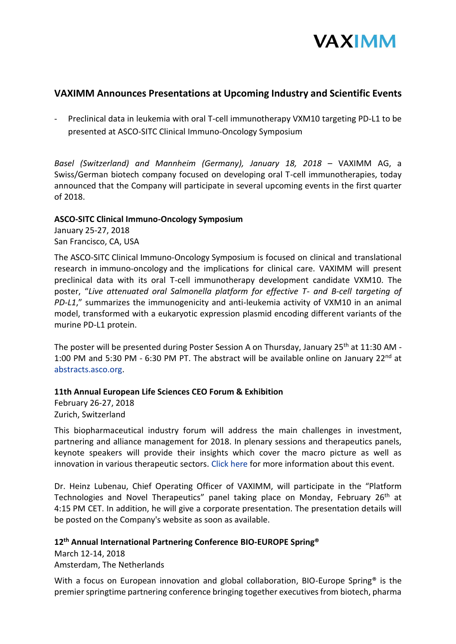

# **VAXIMM Announces Presentations at Upcoming Industry and Scientific Events**

- Preclinical data in leukemia with oral T-cell immunotherapy VXM10 targeting PD-L1 to be presented at ASCO-SITC Clinical Immuno-Oncology Symposium

*Basel (Switzerland) and Mannheim (Germany), January 18, 2018* – VAXIMM AG, a Swiss/German biotech company focused on developing oral T-cell immunotherapies, today announced that the Company will participate in several upcoming events in the first quarter of 2018.

# **ASCO-SITC Clinical Immuno-Oncology Symposium**

January 25-27, 2018 San Francisco, CA, USA

The ASCO-SITC Clinical Immuno-Oncology Symposium is focused on clinical and translational research in immuno-oncology and the implications for clinical care. VAXIMM will present preclinical data with its oral T-cell immunotherapy development candidate VXM10. The poster, "*Live attenuated oral Salmonella platform for effective T- and B-cell targeting of PD-L1*," summarizes the immunogenicity and anti-leukemia activity of VXM10 in an animal model, transformed with a eukaryotic expression plasmid encoding different variants of the murine PD-L1 protein.

The poster will be presented during Poster Session A on Thursday, January 25<sup>th</sup> at 11:30 AM -1:00 PM and 5:30 PM - 6:30 PM PT. The abstract will be available online on January 22<sup>nd</sup> at [abstracts.asco.org.](http://abstracts.asco.org/)

# **11th Annual European Life Sciences CEO Forum & Exhibition**

February 26-27, 2018 Zurich, Switzerland

This biopharmaceutical industry forum will address the main challenges in investment, partnering and alliance management for 2018. In plenary sessions and therapeutics panels, keynote speakers will provide their insights which cover the macro picture as well as innovation in various therapeutic sectors. [Click here](http://www.sachsforum.com/11elsceo-about.html) for more information about this event.

Dr. Heinz Lubenau, Chief Operating Officer of VAXIMM, will participate in the "Platform Technologies and Novel Therapeutics" panel taking place on Monday, February 26<sup>th</sup> at 4:15 PM CET. In addition, he will give a corporate presentation. The presentation details will be posted on the Company's website as soon as available.

# **12th Annual International Partnering Conference BIO-EUROPE Spring®**

March 12-14, 2018 Amsterdam, The Netherlands

With a focus on European innovation and global collaboration, BIO-Europe Spring<sup>®</sup> is the premier springtime partnering conference bringing together executives from biotech, pharma